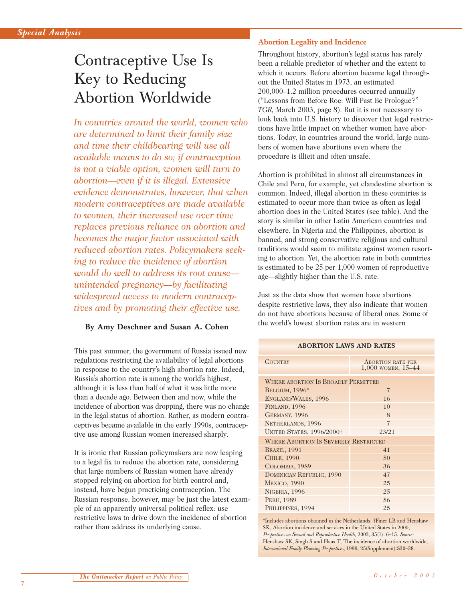# Contraceptive Use Is Key to Reducing Abortion Worldwide

*In countries around the world, women who are determined to limit their family size and time their childbearing will use all available means to do so; if contraception is not a viable option, women will turn to abortion—even if it is illegal. Extensive evidence demonstrates, however, that when modern contraceptives are made available to women, their increased use over time replaces previous reliance on abortion and becomes the major factor associated with reduced abortion rates. Policymakers seeking to reduce the incidence of abortion would do well to address its root cause unintended pregnancy—by facilitating widespread access to modern contraceptives and by promoting their effective use.*

## **By Amy Deschner and Susan A. Cohen**

This past summer, the government of Russia issued new regulations restricting the availability of legal abortions in response to the country's high abortion rate. Indeed, Russia's abortion rate is among the world's highest, although it is less than half of what it was little more than a decade ago. Between then and now, while the incidence of abortion was dropping, there was no change in the legal status of abortion. Rather, as modern contraceptives became available in the early 1990s, contraceptive use among Russian women increased sharply.

It is ironic that Russian policymakers are now leaping to a legal fix to reduce the abortion rate, considering that large numbers of Russian women have already stopped relying on abortion for birth control and, instead, have begun practicing contraception. The Russian response, however, may be just the latest example of an apparently universal political reflex: use restrictive laws to drive down the incidence of abortion rather than address its underlying cause.

## **Abortion Legality and Incidence**

Throughout history, abortion's legal status has rarely been a reliable predictor of whether and the extent to which it occurs. Before abortion became legal throughout the United States in 1973, an estimated 200,000–1.2 million procedures occurred annually ("Lessons from Before Roe: Will Past Be Prologue?" *TGR,* March 2003, page 8). But it is not necessary to look back into U.S. history to discover that legal restrictions have little impact on whether women have abortions. Today, in countries around the world, large numbers of women have abortions even where the procedure is illicit and often unsafe.

Abortion is prohibited in almost all circumstances in Chile and Peru, for example, yet clandestine abortion is common. Indeed, illegal abortion in these countries is estimated to occur more than twice as often as legal abortion does in the United States (see table). And the story is similar in other Latin American countries and elsewhere. In Nigeria and the Philippines, abortion is banned, and strong conservative religious and cultural traditions would seem to militate against women resorting to abortion. Yet, the abortion rate in both countries is estimated to be 25 per 1,000 women of reproductive age—slightly higher than the U.S. rate.

Just as the data show that women have abortions despite restrictive laws, they also indicate that women do not have abortions because of liberal ones. Some of the world's lowest abortion rates are in western

**ABORTION LAWS AND RATES**

| <u>INDONITON LINVO INND INITLIO</u>          |                                                    |
|----------------------------------------------|----------------------------------------------------|
| <b>COUNTRY</b>                               | <b>ABORTION RATE PER</b><br>$1,000$ WOMEN, $15-44$ |
| WHERE ABORTION IS BROADLY PERMITTED          |                                                    |
| <b>BELGIUM, 1996*</b>                        | $\overline{7}$                                     |
| ENGLAND/WALES, 1996                          | 16                                                 |
| FINLAND, 1996                                | 10                                                 |
| GERMANY, 1996                                | 8                                                  |
| NETHERLANDS, 1996                            | $\overline{7}$                                     |
| <b>UNITED STATES, 1996/2000†</b>             | 23/21                                              |
| <b>WHERE ABORTION IS SEVERELY RESTRICTED</b> |                                                    |
| <b>BRAZIL, 1991</b>                          | 41                                                 |
| CHILE, 1990                                  | 50                                                 |
| COLOMBIA, 1989                               | 36                                                 |
| DOMINICAN REPUBLIC, 1990                     | 47                                                 |
| <b>MEXICO, 1990</b>                          | 25                                                 |
| NIGERIA, 1996                                | 25                                                 |
| PERU, 1989                                   | 56                                                 |
| PHILIPPINES, 1994                            | 25                                                 |

\*Includes abortions obtained in the Netherlands. †Finer LB and Henshaw SK, Abortion incidence and services in the United States in 2000, *Perspectives on Sexual and Reproductive Health,* 2003, 35(1): 6–15. *Source:* Henshaw SK, Singh S and Haas T, The incidence of abortion worldwide, *International Family Planning Perspectives,* 1999, 25(Supplement):S30–38.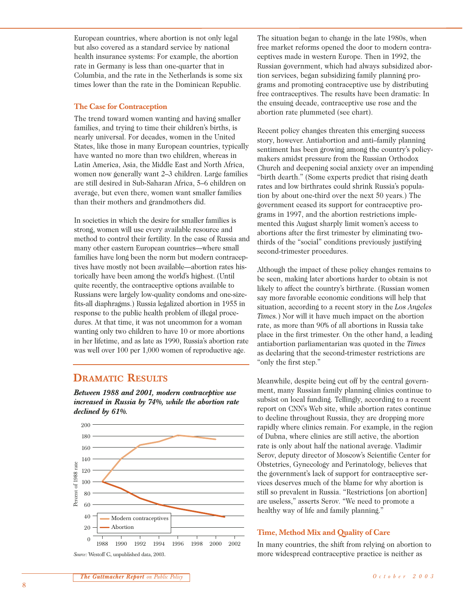European countries, where abortion is not only legal but also covered as a standard service by national health insurance systems: For example, the abortion rate in Germany is less than one-quarter that in Columbia, and the rate in the Netherlands is some six times lower than the rate in the Dominican Republic.

#### **The Case for Contraception**

The trend toward women wanting and having smaller families, and trying to time their children's births, is nearly universal. For decades, women in the United States, like those in many European countries, typically have wanted no more than two children, whereas in Latin America, Asia, the Middle East and North Africa, women now generally want 2–3 children. Large families are still desired in Sub-Saharan Africa, 5–6 children on average, but even there, women want smaller families than their mothers and grandmothers did.

In societies in which the desire for smaller families is strong, women will use every available resource and method to control their fertility. In the case of Russia and many other eastern European countries—where small families have long been the norm but modern contraceptives have mostly not been available—abortion rates historically have been among the world's highest. (Until quite recently, the contraceptive options available to Russians were largely low-quality condoms and one-sizefits-all diaphragms.) Russia legalized abortion in 1955 in response to the public health problem of illegal procedures. At that time, it was not uncommon for a woman wanting only two children to have 10 or more abortions in her lifetime, and as late as 1990, Russia's abortion rate was well over 100 per 1,000 women of reproductive age.

## **DRAMATIC RESULTS**

*Between 1988 and 2001, modern contraceptive use increased in Russia by 74%, while the abortion rate declined by 61%.*



The situation began to change in the late 1980s, when free market reforms opened the door to modern contraceptives made in western Europe. Then in 1992, the Russian government, which had always subsidized abortion services, began subsidizing family planning programs and promoting contraceptive use by distributing free contraceptives. The results have been dramatic: In the ensuing decade, contraceptive use rose and the abortion rate plummeted (see chart).

Recent policy changes threaten this emerging success story, however. Antiabortion and anti–family planning sentiment has been growing among the country's policymakers amidst pressure from the Russian Orthodox Church and deepening social anxiety over an impending "birth dearth." (Some experts predict that rising death rates and low birthrates could shrink Russia's population by about one-third over the next 50 years.) The government ceased its support for contraceptive programs in 1997, and the abortion restrictions implemented this August sharply limit women's access to abortions after the first trimester by eliminating twothirds of the "social" conditions previously justifying second-trimester procedures.

Although the impact of these policy changes remains to be seen, making later abortions harder to obtain is not likely to affect the country's birthrate. (Russian women say more favorable economic conditions will help that situation, according to a recent story in the *Los Angeles Times.*) Nor will it have much impact on the abortion rate, as more than 90% of all abortions in Russia take place in the first trimester. On the other hand, a leading antiabortion parliamentarian was quoted in the *Times* as declaring that the second-trimester restrictions are "only the first step."

Meanwhile, despite being cut off by the central government, many Russian family planning clinics continue to subsist on local funding. Tellingly, according to a recent report on CNN's Web site, while abortion rates continue to decline throughout Russia, they are dropping more rapidly where clinics remain. For example, in the region of Dubna, where clinics are still active, the abortion rate is only about half the national average. Vladimir Serov, deputy director of Moscow's Scientific Center for Obstetrics, Gynecology and Perinatology, believes that the government's lack of support for contraceptive services deserves much of the blame for why abortion is still so prevalent in Russia. "Restrictions [on abortion] are useless," asserts Serov. "We need to promote a healthy way of life and family planning."

## **Time, Method Mix and Quality of Care**

In many countries, the shift from relying on abortion to more widespread contraceptive practice is neither as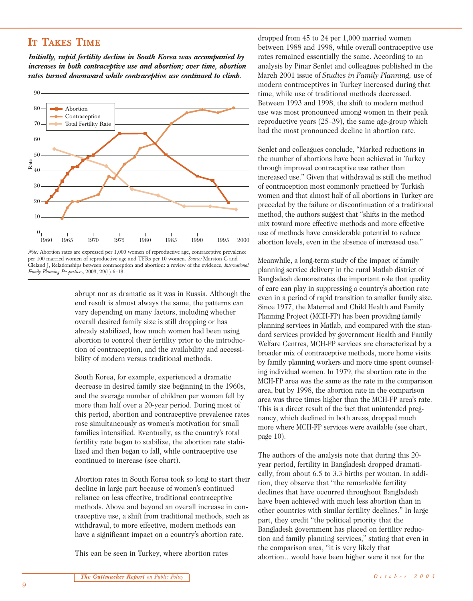# **IT TAKES TIME**

*Initially, rapid fertility decline in South Korea was accompanied by increases in both contraceptive use and abortion; over time, abortion rates turned downward while contraceptive use continued to climb.*



*Note:* Abortion rates are expressed per 1,000 women of reproductive age, contraceptive prevalence per 100 married women of reproductive age and TFRs per 10 women. *Source:* Marston C and Cleland J, Relationships between contraception and abortion: a review of the evidence, *International Family Planning Perspectives,* 2003, 29(1):6–13.

abrupt nor as dramatic as it was in Russia. Although the end result is almost always the same, the patterns can vary depending on many factors, including whether overall desired family size is still dropping or has already stabilized, how much women had been using abortion to control their fertility prior to the introduction of contraception, and the availability and accessibility of modern versus traditional methods.

South Korea, for example, experienced a dramatic decrease in desired family size beginning in the 1960s, and the average number of children per woman fell by more than half over a 20-year period. During most of this period, abortion and contraceptive prevalence rates rose simultaneously as women's motivation for small families intensified. Eventually, as the country's total fertility rate began to stabilize, the abortion rate stabilized and then began to fall, while contraceptive use continued to increase (see chart).

Abortion rates in South Korea took so long to start their decline in large part because of women's continued reliance on less effective, traditional contraceptive methods. Above and beyond an overall increase in contraceptive use, a shift from traditional methods, such as withdrawal, to more effective, modern methods can have a significant impact on a country's abortion rate.

This can be seen in Turkey, where abortion rates

dropped from 45 to 24 per 1,000 married women between 1988 and 1998, while overall contraceptive use rates remained essentially the same. According to an analysis by Pinar Senlet and colleagues published in the March 2001 issue of *Studies in Family Planning,* use of modern contraceptives in Turkey increased during that time, while use of traditional methods decreased. Between 1993 and 1998, the shift to modern method use was most pronounced among women in their peak reproductive years (25–39), the same age-group which had the most pronounced decline in abortion rate.

Senlet and colleagues conclude, "Marked reductions in the number of abortions have been achieved in Turkey through improved contraceptive use rather than increased use." Given that withdrawal is still the method of contraception most commonly practiced by Turkish women and that almost half of all abortions in Turkey are preceded by the failure or discontinuation of a traditional method, the authors suggest that "shifts in the method mix toward more effective methods and more effective use of methods have considerable potential to reduce abortion levels, even in the absence of increased use."

Meanwhile, a long-term study of the impact of family planning service delivery in the rural Matlab district of Bangladesh demonstrates the important role that quality of care can play in suppressing a country's abortion rate even in a period of rapid transition to smaller family size. Since 1977, the Maternal and Child Health and Family Planning Project (MCH-FP) has been providing family planning services in Matlab, and compared with the standard services provided by government Health and Family Welfare Centres, MCH-FP services are characterized by a broader mix of contraceptive methods, more home visits by family planning workers and more time spent counseling individual women. In 1979, the abortion rate in the MCH-FP area was the same as the rate in the comparison area, but by 1998, the abortion rate in the comparison area was three times higher than the MCH-FP area's rate. This is a direct result of the fact that unintended pregnancy, which declined in both areas, dropped much more where MCH-FP services were available (see chart, page 10).

The authors of the analysis note that during this 20 year period, fertility in Bangladesh dropped dramatically, from about 6.5 to 3.3 births per woman. In addition, they observe that "the remarkable fertility declines that have occurred throughout Bangladesh have been achieved with much less abortion than in other countries with similar fertility declines." In large part, they credit "the political priority that the Bangladesh government has placed on fertility reduction and family planning services," stating that even in the comparison area, "it is very likely that abortion…would have been higher were it not for the